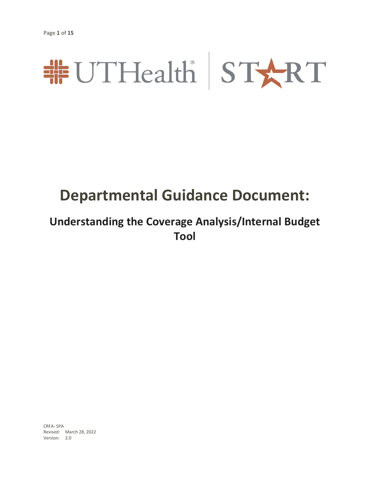# #UTHealth START

## **Departmental Guidance Document:**

### **Understanding the Coverage Analysis/Internal Budget Tool**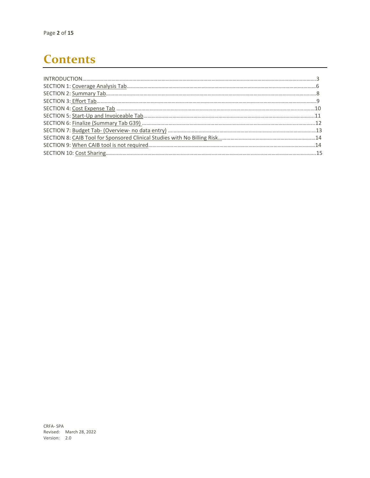### **Contents**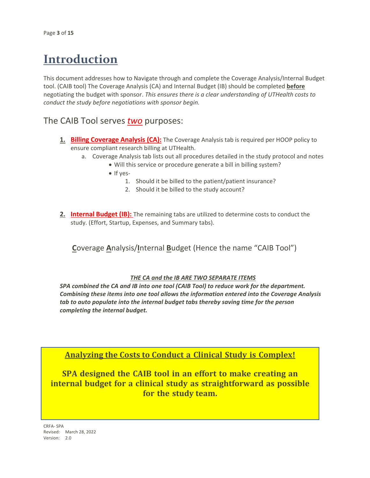### **Introduction**

This document addresses how to Navigate through and complete the Coverage Analysis/Internal Budget tool. (CAIB tool) The Coverage Analysis (CA) and Internal Budget (IB) should be completed **before** negotiating the budget with sponsor. *This ensures there is a clear understanding of UTHealth costs to conduct the study before negotiations with sponsor begin.*

### The CAIB Tool serves *two* purposes:

- **1. Billing Coverage Analysis (CA):** The Coverage Analysis tab is required per HOOP policy to ensure compliant research billing at UTHealth.
	- a. Coverage Analysis tab lists out all procedures detailed in the study protocol and notes
		- Will this service or procedure generate a bill in billing system?
		- If yes-
			- 1. Should it be billed to the patient/patient insurance?
			- 2. Should it be billed to the study account?
- **2. Internal Budget (IB):** The remaining tabs are utilized to determine costs to conduct the study. (Effort, Startup, Expenses, and Summary tabs).

 **C**overage **A**nalysis/**I**nternal **B**udget (Hence the name "CAIB Tool")

#### *THE CA and the IB ARE TWO SEPARATE ITEMS*

*SPA combined the CA and IB into one tool (CAIB Tool) to reduce work for the department. Combining these items into one tool allows the information entered into the Coverage Analysis tab to auto populate into the internal budget tabs thereby saving time for the person completing the internal budget.*

**Analyzing the Costs to Conduct a Clinical Study is Complex!**

**SPA designed the CAIB tool in an effort to make creating an internal budget for a clinical study as straightforward as possible for the study team.**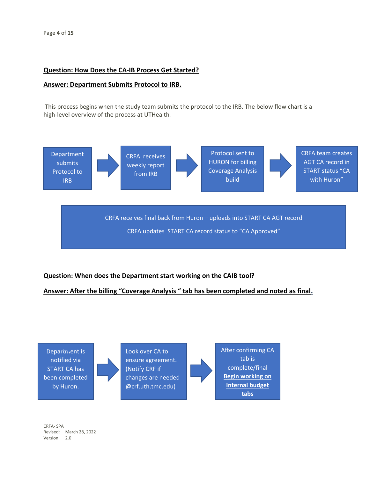### **Question: How Does the CA-IB Process Get Started?**

#### **Answer: Department Submits Protocol to IRB.**

This process begins when the study team submits the protocol to the IRB. The below flow chart is a high-level overview of the process at UTHealth*.*



### **Question: When does the Department start working on the CAIB tool?**

### **Answer: After the billing "Coverage Analysis " tab has been completed and noted as final.**

Department is notified via START CA has been completed by Huron.

Look over CA to ensure agreement. (Notify CRF if changes are needed @crf.uth.tmc.edu)

After confirming CA tab is complete/final **Begin working on Internal budget tabs**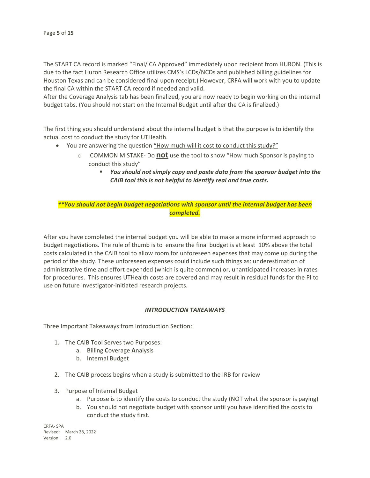The START CA record is marked "Final/ CA Approved" immediately upon recipient from HURON. (This is due to the fact Huron Research Office utilizes CMS's LCDs/NCDs and published billing guidelines for Houston Texas and can be considered final upon receipt.) However, CRFA will work with you to update the final CA within the START CA record if needed and valid.

After the Coverage Analysis tab has been finalized, you are now ready to begin working on the internal budget tabs. (You should not start on the Internal Budget until after the CA is finalized.)

The first thing you should understand about the internal budget is that the purpose is to identify the actual cost to conduct the study for UTHealth.

- You are answering the question "How much will it cost to conduct this study?"
	- o COMMON MISTAKE- Do **not** use the tool to show "How much Sponsor is paying to conduct this study"
		- *You should not simply copy and paste data from the sponsor budget into the CAIB tool this is not helpful to identify real and true costs.*

*\*\*You should not begin budget negotiations with sponsor until the internal budget has been completed.*

After you have completed the internal budget you will be able to make a more informed approach to budget negotiations. The rule of thumb is to ensure the final budget is at least 10% above the total costs calculated in the CAIB tool to allow room for unforeseen expenses that may come up during the period of the study. These unforeseen expenses could include such things as: underestimation of administrative time and effort expended (which is quite common) or, unanticipated increases in rates for procedures. This ensures UTHealth costs are covered and may result in residual funds for the PI to use on future investigator-initiated research projects.

#### *INTRODUCTION TAKEAWAYS*

Three Important Takeaways from Introduction Section:

- 1. The CAIB Tool Serves two Purposes:
	- a. Billing **C**overage **A**nalysis
	- b. Internal Budget
- 2. The CAIB process begins when a study is submitted to the IRB for review
- 3. Purpose of Internal Budget
	- a. Purpose is to identify the costs to conduct the study (NOT what the sponsor is paying)
	- b. You should not negotiate budget with sponsor until you have identified the costs to conduct the study first.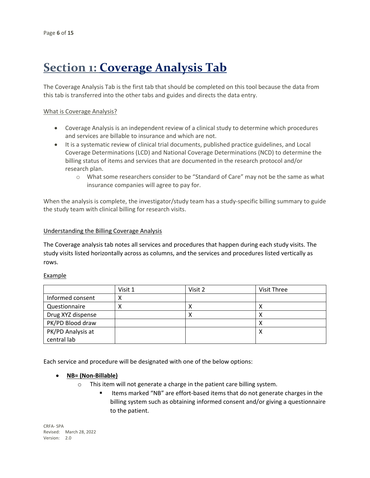### **Section 1: Coverage Analysis Tab**

The Coverage Analysis Tab is the first tab that should be completed on this tool because the data from this tab is transferred into the other tabs and guides and directs the data entry.

#### What is Coverage Analysis?

- Coverage Analysis is an independent review of a clinical study to determine which procedures and services are billable to insurance and which are not.
- It is a systematic review of clinical trial documents, published practice guidelines, and Local Coverage Determinations (LCD) and National Coverage Determinations (NCD) to determine the billing status of items and services that are documented in the research protocol and/or research plan.
	- o What some researchers consider to be "Standard of Care" may not be the same as what insurance companies will agree to pay for.

When the analysis is complete, the investigator/study team has a study-specific billing summary to guide the study team with clinical billing for research visits.

#### Understanding the Billing Coverage Analysis

The Coverage analysis tab notes all services and procedures that happen during each study visits. The study visits listed horizontally across as columns, and the services and procedures listed vertically as rows.

#### Example

|                   | Visit 1 | Visit 2   | Visit Three |
|-------------------|---------|-----------|-------------|
| Informed consent  | ∧       |           |             |
| Questionnaire     | Λ       | ↗         |             |
| Drug XYZ dispense |         | $\lambda$ | ◠           |
| PK/PD Blood draw  |         |           |             |
| PK/PD Analysis at |         |           | ∧           |
| central lab       |         |           |             |

Each service and procedure will be designated with one of the below options:

- **NB= (Non-Billable)**
	- o This item will not generate a charge in the patient care billing system.
		- Items marked "NB" are effort-based items that do not generate charges in the billing system such as obtaining informed consent and/or giving a questionnaire to the patient.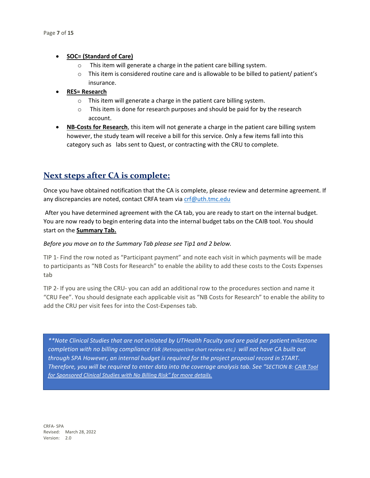#### • **SOC= (Standard of Care)**

- o This item will generate a charge in the patient care billing system.
- $\circ$  This item is considered routine care and is allowable to be billed to patient/ patient's insurance.
- **RES= Research**
	- o This item will generate a charge in the patient care billing system.
	- o This item is done for research purposes and should be paid for by the research account.
- **NB-Costs for Research**, this item will not generate a charge in the patient care billing system however, the study team will receive a bill for this service. Only a few items fall into this category such as labs sent to Quest, or contracting with the CRU to complete.

### **Next steps after CA is complete:**

Once you have obtained notification that the CA is complete, please review and determine agreement. If any discrepancies are noted, contact CRFA team via [crf@uth.tmc.edu](mailto:crf@uth.tmc.edu)

After you have determined agreement with the CA tab, you are ready to start on the internal budget. You are now ready to begin entering data into the internal budget tabs on the CAIB tool. You should start on the **Summary Tab.** 

#### *Before you move on to the Summary Tab please see Tip1 and 2 below.*

TIP 1- Find the row noted as "Participant payment" and note each visit in which payments will be made to participants as "NB Costs for Research" to enable the ability to add these costs to the Costs Expenses tab

TIP 2- If you are using the CRU- you can add an additional row to the procedures section and name it "CRU Fee". You should designate each applicable visit as "NB Costs for Research" to enable the ability to add the CRU per visit fees for into the Cost-Expenses tab.

*\*\*Note Clinical Studies that are not initiated by UTHealth Faculty and are paid per patient milestone completion with no billing compliance risk (Retrospective chart reviews etc.) will not have CA built out through SPA However, an internal budget is required for the project proposal record in START. Therefore, you will be required to enter data into the coverage analysis tab. See "SECTION 8: CAIB Tool for Sponsored Clinical Studies with No Billing Risk" for more details.*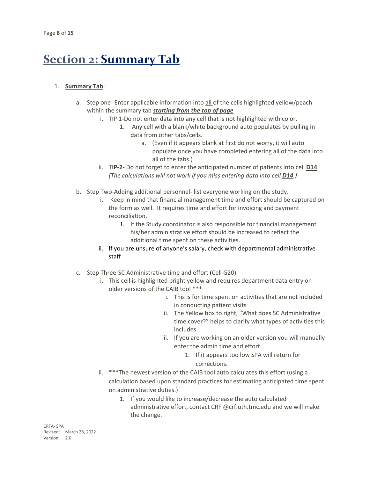### **Section 2: Summary Tab**

### 1. **Summary Tab**:

- a. Step one- Enter applicable information into all of the cells highlighted yellow/peach within the summary tab *starting from the top of page*
	- i. TIP 1-Do not enter data into any cell that is not highlighted with color.
		- 1. Any cell with a blank/white background auto populates by pulling in data from other tabs/cells.
			- a. (Even if it appears blank at first do not worry, it will auto populate once you have completed entering all of the data into all of the tabs.)
	- ii. T**IP-2-** Do not forget to enter the anticipated number of patients into cell **D14**. *(The calculations will not work if you miss entering data into cell D14.)*
- b. Step Two-Adding additional personnel- list everyone working on the study.
	- i. Keep in mind that financial management time and effort should be captured on the form as well. It requires time and effort for invoicing and payment reconciliation.
		- *1.* If the Study coordinator is also responsible for financial management his/her administrative effort should be increased to reflect the additional time spent on these activities.
	- ii. If you are unsure of anyone's salary, check with departmental administrative staff
- c. Step Three-SC Administrative time and effort (Cell G20)
	- i. This cell is highlighted bright yellow and requires department data entry on older versions of the CAIB tool \*\*\*
		- i. This is for time spent on activities that are not included in conducting patient visits
		- ii. The Yellow box to right, "What does SC Administrative time cover?" helps to clarify what types of activities this includes.
		- iii. If you are working on an older version you will manually enter the admin time and effort.
			- 1. If it appears too low SPA will return for corrections.
	- ii. \*\*\*The newest version of the CAIB tool auto calculates this effort (using a calculation based upon standard practices for estimating anticipated time spent on administrative duties.)
		- 1. If you would like to increase/decrease the auto calculated administrative effort, contact CRF @crf.uth.tmc.edu and we will make the change.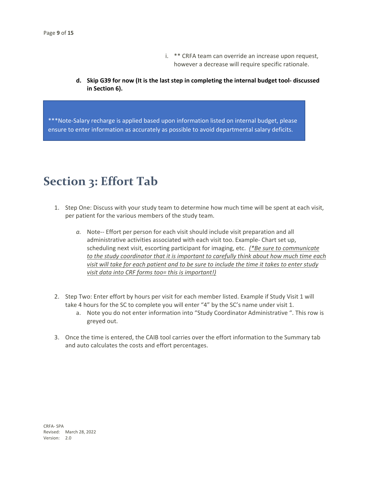- i. \*\* CRFA team can override an increase upon request, however a decrease will require specific rationale.
- **d. Skip G39 for now (It is the last step in completing the internal budget tool- discussed in Section 6).**

\*\*\*Note-Salary recharge is applied based upon information listed on internal budget, please ensure to enter information as accurately as possible to avoid departmental salary deficits.

### **Section 3: Effort Tab**

- 1. Step One: Discuss with your study team to determine how much time will be spent at each visit, per patient for the various members of the study team.
	- *a.* Note-- Effort per person for each visit should include visit preparation and all administrative activities associated with each visit too. Example- Chart set up, scheduling next visit, escorting participant for imaging, etc. *(\*Be sure to communicate to the study coordinator that it is important to carefully think about how much time each visit will take for each patient and to be sure to include the time it takes to enter study visit data into CRF forms too= this is important!)*
- 2. Step Two: Enter effort by hours per visit for each member listed. Example if Study Visit 1 will take 4 hours for the SC to complete you will enter "4" by the SC's name under visit 1.
	- a. Note you do not enter information into "Study Coordinator Administrative ". This row is greyed out.
- 3. Once the time is entered, the CAIB tool carries over the effort information to the Summary tab and auto calculates the costs and effort percentages.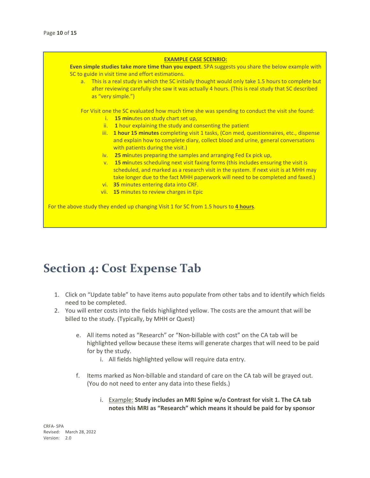#### **EXAMPLE CASE SCENRIO:**

**Even simple studies take more time than you expect**. SPA suggests you share the below example with SC to guide in visit time and effort estimations.

a. This is a real study in which the SC initially thought would only take 1.5 hours to complete but after reviewing carefully she saw it was actually 4 hours. (This is real study that SC described as "very simple.")

For Visit one the SC evaluated how much time she was spending to conduct the visit she found:

- i. **15 min**utes on study chart set up,
- ii. **1** hour explaining the study and consenting the patient
- iii. **1 hour 15 minutes** completing visit 1 tasks, (Con med, questionnaires, etc., dispense and explain how to complete diary, collect blood and urine, general conversations with patients during the visit.)
- iv. **25 mi**nutes preparing the samples and arranging Fed Ex pick up,
- v. **15 mi**nutes scheduling next visit faxing forms (this includes ensuring the visit is scheduled, and marked as a research visit in the system. If next visit is at MHH may take longer due to the fact MHH paperwork will need to be completed and faxed.)
- vi. **35** minutes entering data into CRF.
- vii. **15** minutes to review charges in Epic

For the above study they ended up changing Visit 1 for SC from 1.5 hours to **4 hours**.

### **Section 4: Cost Expense Tab**

- 1. Click on "Update table" to have items auto populate from other tabs and to identify which fields need to be completed.
- 2. You will enter costs into the fields highlighted yellow. The costs are the amount that will be billed to the study. (Typically, by MHH or Quest)
	- e. All items noted as "Research" or "Non-billable with cost" on the CA tab will be highlighted yellow because these items will generate charges that will need to be paid for by the study.
		- i. All fields highlighted yellow will require data entry.
	- f. Items marked as Non-billable and standard of care on the CA tab will be grayed out. (You do not need to enter any data into these fields.)
		- i. Example: **Study includes an MRI Spine w/o Contrast for visit 1. The CA tab notes this MRI as "Research" which means it should be paid for by sponsor**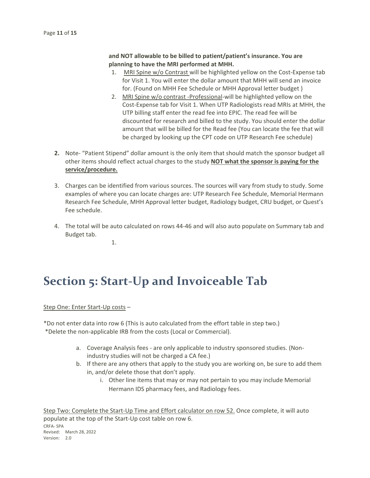### **and NOT allowable to be billed to patient/patient's insurance. You are planning to have the MRI performed at MHH.**

- 1. MRI Spine w/o Contrast will be highlighted yellow on the Cost-Expense tab for Visit 1. You will enter the dollar amount that MHH will send an invoice for. (Found on MHH Fee Schedule or MHH Approval letter budget )
- 2. MRI Spine w/o contrast -Professional-will be highlighted yellow on the Cost-Expense tab for Visit 1. When UTP Radiologists read MRIs at MHH, the UTP billing staff enter the read fee into EPIC. The read fee will be discounted for research and billed to the study. You should enter the dollar amount that will be billed for the Read fee (You can locate the fee that will be charged by looking up the CPT code on UTP Research Fee schedule)
- **2.** Note- "Patient Stipend" dollar amount is the only item that should match the sponsor budget all other items should reflect actual charges to the study **NOT what the sponsor is paying for the service/procedure.**
- 3. Charges can be identified from various sources. The sources will vary from study to study. Some examples of where you can locate charges are: UTP Research Fee Schedule, Memorial Hermann Research Fee Schedule, MHH Approval letter budget, Radiology budget, CRU budget, or Quest's Fee schedule.
- 4. The total will be auto calculated on rows 44-46 and will also auto populate on Summary tab and Budget tab.

1.

### **Section 5: Start-Up and Invoiceable Tab**

Step One: Enter Start-Up costs –

\*Do not enter data into row 6 (This is auto calculated from the effort table in step two.) \*Delete the non-applicable IRB from the costs (Local or Commercial).

- a. Coverage Analysis fees are only applicable to industry sponsored studies. (Nonindustry studies will not be charged a CA fee.)
- b. If there are any others that apply to the study you are working on, be sure to add them in, and/or delete those that don't apply.
	- i. Other line items that may or may not pertain to you may include Memorial Hermann IDS pharmacy fees, and Radiology fees.

CRFA- SPA Revised: March 28, 2022 Version: 2.0 Step Two: Complete the Start-Up Time and Effort calculator on row 52. Once complete, it will auto populate at the top of the Start-Up cost table on row 6.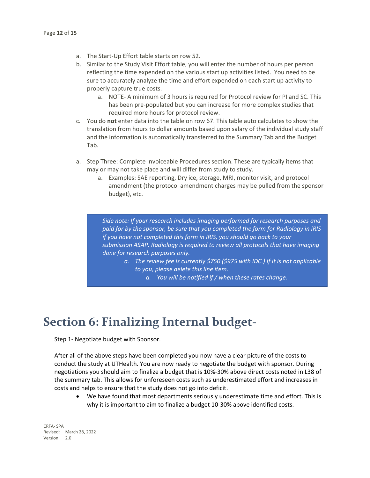- a. The Start-Up Effort table starts on row 52.
- b. Similar to the Study Visit Effort table, you will enter the number of hours per person reflecting the time expended on the various start up activities listed. You need to be sure to accurately analyze the time and effort expended on each start up activity to properly capture true costs.
	- a. NOTE- A minimum of 3 hours is required for Protocol review for PI and SC. This has been pre-populated but you can increase for more complex studies that required more hours for protocol review.
- c. You do **not** enter data into the table on row 67. This table auto calculates to show the translation from hours to dollar amounts based upon salary of the individual study staff and the information is automatically transferred to the Summary Tab and the Budget Tab.
- a. Step Three: Complete Invoiceable Procedures section. These are typically items that may or may not take place and will differ from study to study.
	- a. Examples: SAE reporting, Dry ice, storage, MRI, monitor visit, and protocol amendment (the protocol amendment charges may be pulled from the sponsor budget), etc.

*Side note: If your research includes imaging performed for research purposes and paid for by the sponsor, be sure that you completed the form for Radiology in iRIS if you have not completed this form in IRIS, you should go back to your submission ASAP. Radiology is required to review all protocols that have imaging done for research purposes only.* 

- *a. The review fee is currently \$750 (\$975 with IDC.) If it is not applicable to you, please delete this line item.*
	- *a. You will be notified if / when these rates change.*

### **Section 6: Finalizing Internal budget-**

Step 1- Negotiate budget with Sponsor.

After all of the above steps have been completed you now have a clear picture of the costs to conduct the study at UTHealth. You are now ready to negotiate the budget with sponsor. During negotiations you should aim to finalize a budget that is 10%-30% above direct costs noted in L38 of the summary tab. This allows for unforeseen costs such as underestimated effort and increases in costs and helps to ensure that the study does not go into deficit.

• We have found that most departments seriously underestimate time and effort. This is why it is important to aim to finalize a budget 10-30% above identified costs.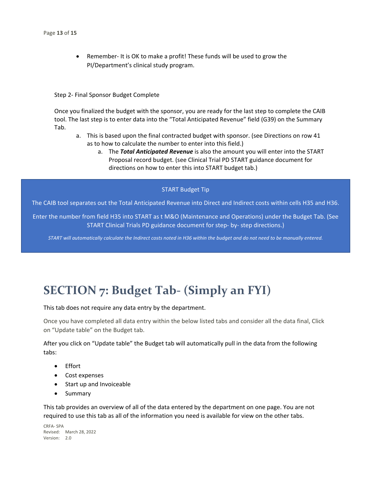• Remember- It is OK to make a profit! These funds will be used to grow the PI/Department's clinical study program.

#### Step 2- Final Sponsor Budget Complete

Once you finalized the budget with the sponsor, you are ready for the last step to complete the CAIB tool. The last step is to enter data into the "Total Anticipated Revenue" field (G39) on the Summary Tab.

- a. This is based upon the final contracted budget with sponsor. (see Directions on row 41 as to how to calculate the number to enter into this field.)
	- a. The *Total Anticipated Revenue* is also the amount you will enter into the START Proposal record budget. (see Clinical Trial PD START guidance document for directions on how to enter this into START budget tab.)

#### START Budget Tip

The CAIB tool separates out the Total Anticipated Revenue into Direct and Indirect costs within cells H35 and H36.

Enter the number from field H35 into START as t M&O (Maintenance and Operations) under the Budget Tab. (See START Clinical Trials PD guidance document for step- by- step directions.)

*START will automatically calculate the Indirect costs noted in H36 within the budget and do not need to be manually entered.*

### **SECTION 7: Budget Tab- (Simply an FYI)**

This tab does not require any data entry by the department.

Once you have completed all data entry within the below listed tabs and consider all the data final, Click on "Update table" on the Budget tab.

After you click on "Update table" the Budget tab will automatically pull in the data from the following tabs:

- Effort
- Cost expenses
- Start up and Invoiceable
- Summary

This tab provides an overview of all of the data entered by the department on one page. You are not required to use this tab as all of the information you need is available for view on the other tabs.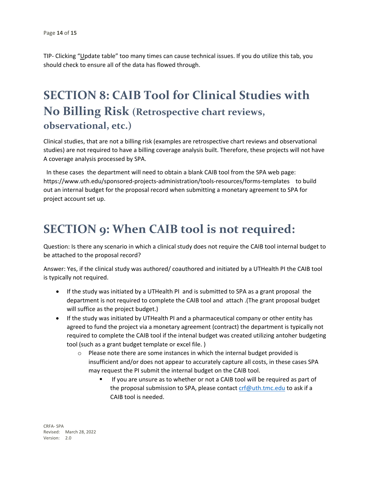TIP- Clicking "Update table" too many times can cause technical issues. If you do utilize this tab, you should check to ensure all of the data has flowed through.

### **SECTION 8: CAIB Tool for Clinical Studies with No Billing Risk (Retrospective chart reviews, observational, etc.)**

Clinical studies, that are not a billing risk (examples are retrospective chart reviews and observational studies) are not required to have a billing coverage analysis built. Therefore, these projects will not have A coverage analysis processed by SPA.

 In these cases the department will need to obtain a blank CAIB tool from the SPA web page: <https://www.uth.edu/sponsored-projects-administration/tools-resources/forms-templates>to build out an internal budget for the proposal record when submitting a monetary agreement to SPA for project account set up.

### **SECTION 9: When CAIB tool is not required:**

Question: Is there any scenario in which a clinical study does not require the CAIB tool internal budget to be attached to the proposal record?

Answer: Yes, if the clinical study was authored/ coauthored and initiated by a UTHealth PI the CAIB tool is typically not required.

- If the study was initiated by a UTHealth PI and is submitted to SPA as a grant proposal the department is not required to complete the CAIB tool and attach .(The grant proposal budget will suffice as the project budget.)
- If the study was initiated by UTHealth PI and a pharmaceutical company or other entity has agreed to fund the project via a monetary agreement (contract) the department is typically not required to complete the CAIB tool if the intenal budget was created utilizing antoher budgeting tool (such as a grant budget template or excel file. )
	- $\circ$  Please note there are some instances in which the internal budget provided is insufficient and/or does not appear to accurately capture all costs, in these cases SPA may request the PI submit the internal budget on the CAIB tool.
		- If you are unsure as to whether or not a CAIB tool will be required as part of the proposal submission to SPA, please contact [crf@uth.tmc.edu](mailto:crf@uth.tmc.edu) to ask if a CAIB tool is needed.